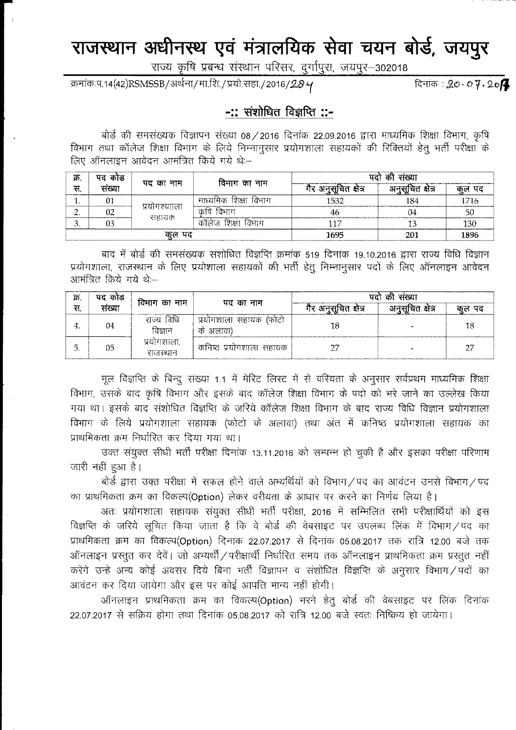## राजस्थान अधीनस्थ एवं मंत्रालयिक सेवा चयन बोर्ड, जयपुर

राज्य कृषि प्रबन्ध संस्थान परिसर, दुर्गापुरा, जयपुर-302018

क्रमांकःप.14(42)RSMSSB/अर्थना/मा.शि./प्रयो.सहा./2016/28 4

दिनाक :  $20.07.20$ 

## -:: संशोधित विज्ञप्ति ::-

बोर्ड की समसंख्यक विज्ञापन संख्या 08/2016 दिनांक 22.09.2016 द्वारा माध्यमिक शिक्षा विभाग, कृषि विभाग तथा कॉलेज शिक्षा विभाग के लिये निम्नानुसार प्रयोगशाला सहायकों की रिक्तियों हेतु भर्ती परीक्षा के लिए ऑनलाइन आवेदन आमंत्रित किये गये थे:-

| ğБ.    | पद कोड | पद का नाम             | विभाग का नाम          | पदो की संख्या       |                |      |
|--------|--------|-----------------------|-----------------------|---------------------|----------------|------|
| स.     | सरव्या |                       |                       | गर अनुसूचित क्षेत्र | अनसचित क्षेत्र |      |
|        |        | प्रयोगश्याला<br>सहायक | माध्यमिक शिक्षा विभाग | 1532                | 184            | 1716 |
| See 1  |        |                       | िमाग<br>কার্য         | 40                  | 04             | 50   |
| ັ      |        |                       | कॉलेज शिक्षा विभाग    |                     |                | 130  |
| कुल पद |        |                       |                       | 1695                |                | 1896 |

बाद में बोर्ड की समसंख्यक संशोधित विज्ञप्ति क्रमांक 519 दिनांक 19.10.2016 द्वारा राज्य विधि विज्ञान प्रयोगशाला, राजस्थान के लिए प्रयोशाला सहायकों की भर्ती हेतू निम्नानुसार पदों के लिए ऑनलाइन आवेदन आमंत्रित किये गये थे:--

| क्र | पद कोड | विभाग का नाम            | पद का नाम                           | पदो की संख्या        |                  |       |
|-----|--------|-------------------------|-------------------------------------|----------------------|------------------|-------|
| स.  | संख्या |                         |                                     | गैर अनुसूचित क्षेत्र | अनुसूचित क्षेत्र | कल पद |
|     | 04     | राज्य विधि<br>विज्ञान   | प्रयोगशाला सहायक (फोटो<br>के अलावा) |                      |                  |       |
|     | 05     | प्रयोगशाला.<br>राजस्थान | कनिष्ठ प्रयोगशाला सहायक             |                      |                  | つワ    |

मूल विज्ञप्ति के बिन्दू संख्या 1.1 में मेरिट लिस्ट में से वरियता के अनुसार सर्वप्रथम माध्यमिक शिक्षा विभाग, उसके बाद कृषि विभाग और इसके बाद कॉलेज शिक्षा विभाग के पदो को भरे जाने का उल्लेख किया गया था। इसके बाद संशोधित विज्ञप्ति के जरिये कॉलेज शिक्षा विभाग के बाद राज्य विधि विज्ञान प्रयोगशाला विभाग के लिये प्रयोगशाला सहायक (फोटो के अलावा) तथा अंत में कनिष्ठ प्रयोगशाला सहायक का प्राथमिकता क्रम निर्धारित कर दिया गया था।

उक्त संयुक्त सीधी भर्ती परीक्षा दिनांक 13.11.2016 को सम्पन्न हो चुकी है और इसका परीक्षा परिणाम जारी नहीं हुआ है।

बोर्ड द्वारा उक्त परीक्षा में सफल होने वाले अभ्यर्थियों को विभाग/पद का आवंटन उनसे विभाग/पद का प्राथमिकता क्रम का विकल्प(Option) लेकर वरीयता के आधार पर करने का निर्णय लिया है।

अतः प्रयोगशाला सहायक संयुक्त सीधी भर्ती परीक्षा, 2016 में सम्मिलित सभी परीक्षार्थियों को इस विज्ञप्ति के जरिये सूचित किया जाता है कि वे बोर्ड की वेबसाइट पर उपलब्ध लिंक में विभाग / पद का प्राथमिकता क्रम का विकल्प(Option) दिनांक 22.07.2017 से दिनांक 05.08.2017 तक रात्रि 12.00 बजे तक ऑनलाइन प्रस्तत कर देवें। जो अभ्यर्थी / परीक्षार्थी निर्धारित समय तक ऑनलाइन प्राथमिकता क्रम प्रस्तत नहीं करेंगे उन्हे अन्य कोई अवसर दिये बिना भर्ती विज्ञापन व संशोधित विज्ञप्ति के अनुसार विभाग/पदों का आवंटन कर दिया जायेगा और इस पर कोई आपत्ति मान्य नहीं होगी।

ऑनलाइन प्राथमिकता क्रम का विकल्प(Option) भरने हेतू बोर्ड की वेबसाइट पर लिंक दिनांक  $22.07.2017$  से सक्रिय होगा तथा दिनांक 05.08.2017 को रात्रि 12.00 बजे स्वतः निष्क्रिय हो जायेगा।